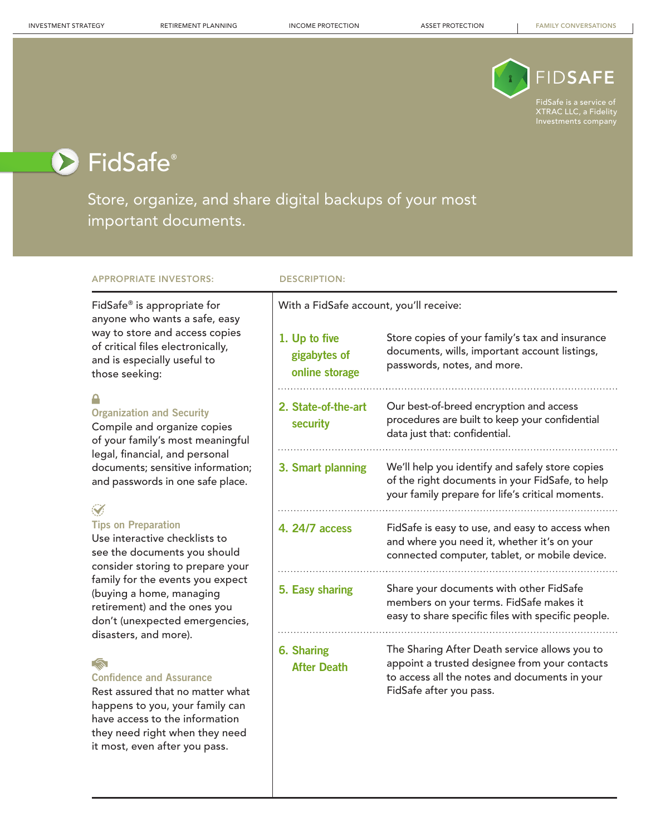

XTRAC LLC, a Fidelity Investments company

# ▶ FidSafe®

Store, organize, and share digital backups of your most important documents.

### APPROPRIATE INVESTORS: DESCRIPTION:

### FidSafe® is appropriate for anyone who wants a safe, easy way to store and access copies of critical files electronically, and is especially useful to those seeking:

### ≏

### **Organization and Security**

Compile and organize copies of your family's most meaningful legal, financial, and personal documents; sensitive information; and passwords in one safe place.

### $\mathcal{S}$

### **Tips on Preparation**

Use interactive checklists to see the documents you should consider storing to prepare your family for the events you expect (buying a home, managing retirement) and the ones you don't (unexpected emergencies, disasters, and more).

### $\sqrt{\mathbf{a}}$

### **Confidence and Assurance**

Rest assured that no matter what happens to you, your family can have access to the information they need right when they need it most, even after you pass.

With a FidSafe account, you'll receive:

| 1. Up to five<br>gigabytes of<br>online storage | Store copies of your family's tax and insurance<br>documents, wills, important account listings,<br>passwords, notes, and more.                                            |
|-------------------------------------------------|----------------------------------------------------------------------------------------------------------------------------------------------------------------------------|
| 2. State-of-the-art<br>security                 | Our best-of-breed encryption and access<br>procedures are built to keep your confidential<br>data just that: confidential.                                                 |
| 3. Smart planning                               | We'll help you identify and safely store copies<br>of the right documents in your FidSafe, to help<br>your family prepare for life's critical moments.                     |
| 4. 24/7 access                                  | FidSafe is easy to use, and easy to access when<br>and where you need it, whether it's on your<br>connected computer, tablet, or mobile device.                            |
| 5. Easy sharing                                 | Share your documents with other FidSafe<br>members on your terms. FidSafe makes it<br>easy to share specific files with specific people.                                   |
| <b>6. Sharing</b><br><b>After Death</b>         | The Sharing After Death service allows you to<br>appoint a trusted designee from your contacts<br>to access all the notes and documents in your<br>FidSafe after you pass. |